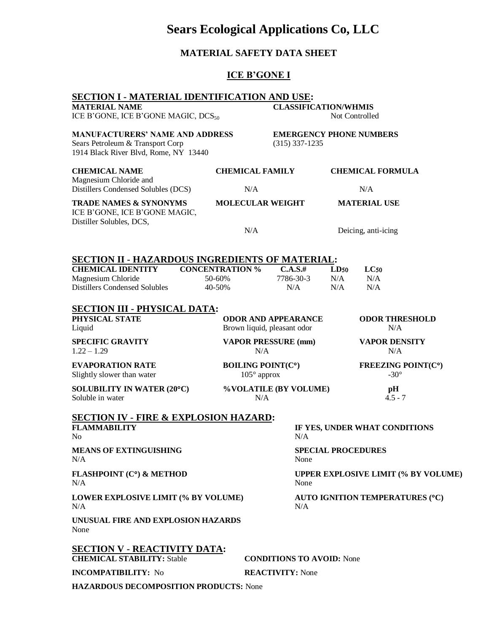# **Sears Ecological Applications Co, LLC**

# **MATERIAL SAFETY DATA SHEET**

# **ICE B'GONE I**

| SECTION I - MATERIAL IDENTIFICATION AND USE:                                                                        |                                                           |                                                    |                                               |                                   |  |
|---------------------------------------------------------------------------------------------------------------------|-----------------------------------------------------------|----------------------------------------------------|-----------------------------------------------|-----------------------------------|--|
| <b>MATERIAL NAME</b><br>ICE B'GONE, ICE B'GONE MAGIC, DCS <sub>50</sub>                                             |                                                           | <b>CLASSIFICATION/WHMIS</b><br>Not Controlled      |                                               |                                   |  |
| <b>MANUFACTURERS' NAME AND ADDRESS</b><br>Sears Petroleum & Transport Corp<br>1914 Black River Blvd, Rome, NY 13440 |                                                           | <b>EMERGENCY PHONE NUMBERS</b><br>$(315)$ 337-1235 |                                               |                                   |  |
| <b>CHEMICAL NAME</b><br>Magnesium Chloride and                                                                      | <b>CHEMICAL FAMILY</b>                                    |                                                    | <b>CHEMICAL FORMULA</b>                       |                                   |  |
| Distillers Condensed Solubles (DCS)                                                                                 | N/A                                                       |                                                    | N/A                                           |                                   |  |
| <b>TRADE NAMES &amp; SYNONYMS</b><br>ICE B'GONE, ICE B'GONE MAGIC,<br>Distiller Solubles, DCS,                      | <b>MOLECULAR WEIGHT</b>                                   |                                                    | <b>MATERIAL USE</b>                           |                                   |  |
|                                                                                                                     | N/A                                                       |                                                    | Deicing, anti-icing                           |                                   |  |
| <u> SECTION II - HAZARDOUS INGREDIENTS OF MATERIAL:</u>                                                             |                                                           |                                                    |                                               |                                   |  |
| <b>CHEMICAL IDENTITY</b>                                                                                            | <b>CONCENTRATION %</b>                                    | $C.A.S.$ #                                         | LD50                                          | LC50                              |  |
| Magnesium Chloride                                                                                                  | 50-60%                                                    | 7786-30-3                                          | N/A                                           | N/A                               |  |
| <b>Distillers Condensed Solubles</b>                                                                                | 40-50%                                                    | N/A                                                | N/A                                           | N/A                               |  |
| <b>SECTION III - PHYSICAL DATA:</b>                                                                                 |                                                           |                                                    |                                               |                                   |  |
| PHYSICAL STATE<br>Liquid                                                                                            | <b>ODOR AND APPEARANCE</b><br>Brown liquid, pleasant odor |                                                    |                                               | <b>ODOR THRESHOLD</b><br>N/A      |  |
| <b>SPECIFIC GRAVITY</b><br>$1.22 - 1.29$                                                                            | <b>VAPOR PRESSURE (mm)</b><br>N/A                         |                                                    |                                               | <b>VAPOR DENSITY</b><br>N/A       |  |
| <b>EVAPORATION RATE</b><br>Slightly slower than water                                                               | <b>BOILING POINT(C°)</b><br>$105^\circ$ approx            |                                                    |                                               | FREEZING POINT(C°)<br>$-30^\circ$ |  |
| <b>SOLUBILITY IN WATER (20°C)</b><br>Soluble in water                                                               | N/A                                                       | %VOLATILE (BY VOLUME)                              |                                               | pH<br>$4.5 - 7$                   |  |
| <b>SECTION IV - FIRE &amp; EXPLOSION HAZARD:</b>                                                                    |                                                           |                                                    |                                               |                                   |  |
| <b>FLAMMABILITY</b><br>No                                                                                           |                                                           | N/A                                                | IF YES, UNDER WHAT CONDITIONS                 |                                   |  |
| <b>MEANS OF EXTINGUISHING</b><br>N/A                                                                                |                                                           | <b>SPECIAL PROCEDURES</b><br>None                  |                                               |                                   |  |
| <b>FLASHPOINT (C°) &amp; METHOD</b><br>N/A                                                                          |                                                           | None                                               | UPPER EXPLOSIVE LIMIT (% BY VOLUME)           |                                   |  |
| N/A                                                                                                                 | <b>LOWER EXPLOSIVE LIMIT (% BY VOLUME)</b>                |                                                    | <b>AUTO IGNITION TEMPERATURES (°C)</b><br>N/A |                                   |  |
| UNUSUAL FIRE AND EXPLOSION HAZARDS<br>None                                                                          |                                                           |                                                    |                                               |                                   |  |
| <u>SECTION V - REACTIVITY DATA:</u><br><b>CHEMICAL STABILITY: Stable</b>                                            |                                                           | <b>CONDITIONS TO AVOID:</b> None                   |                                               |                                   |  |
| <b>INCOMPATIBILITY: No</b>                                                                                          | <b>REACTIVITY: None</b>                                   |                                                    |                                               |                                   |  |
| <b>HAZARDOUS DECOMPOSITION PRODUCTS: None</b>                                                                       |                                                           |                                                    |                                               |                                   |  |